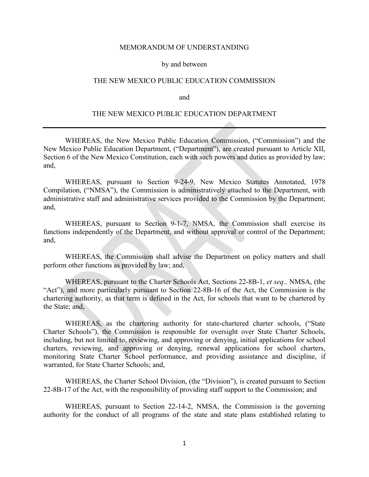#### MEMORANDUM OF UNDERSTANDING

#### by and between

# THE NEW MEXICO PUBLIC EDUCATION COMMISSION

and

### THE NEW MEXICO PUBLIC EDUCATION DEPARTMENT

WHEREAS, the New Mexico Public Education Commission, ("Commission") and the New Mexico Public Education Department, ("Department"), are created pursuant to Article XII, Section 6 of the New Mexico Constitution, each with such powers and duties as provided by law; and,

WHEREAS, pursuant to Section 9-24-9, New Mexico Statutes Annotated, 1978 Compilation, ("NMSA"), the Commission is administratively attached to the Department, with administrative staff and administrative services provided to the Commission by the Department; and,

WHEREAS, pursuant to Section 9-1-7, NMSA, the Commission shall exercise its functions independently of the Department, and without approval or control of the Department; and,

WHEREAS, the Commission shall advise the Department on policy matters and shall perform other functions as provided by law; and,

WHEREAS, pursuant to the Charter Schools Act, Sections 22-8B-1, *et seq.,* NMSA, (the "Act"), and more particularly pursuant to Section 22-8B-16 of the Act, the Commission is the chartering authority, as that term is defined in the Act, for schools that want to be chartered by the State; and,

WHEREAS, as the chartering authority for state-chartered charter schools, ("State Charter Schools"), the Commission is responsible for oversight over State Charter Schools, including, but not limited to, reviewing, and approving or denying, initial applications for school charters, reviewing, and approving or denying, renewal applications for school charters, monitoring State Charter School performance, and providing assistance and discipline, if warranted, for State Charter Schools; and,

WHEREAS, the Charter School Division, (the "Division"), is created pursuant to Section 22-8B-17 of the Act, with the responsibility of providing staff support to the Commission; and

WHEREAS, pursuant to Section 22-14-2, NMSA, the Commission is the governing authority for the conduct of all programs of the state and state plans established relating to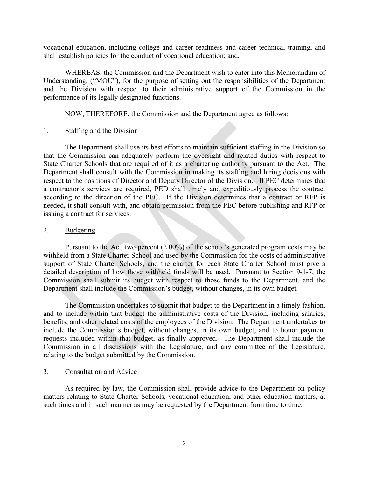vocational education, including college and career readiness and career technical training, and shall establish policies for the conduct of vocational education; and,

WHEREAS, the Commission and the Department wish to enter into this Memorandum of Understanding, ("MOU"), for the purpose of setting out the responsibilities of the Department and the Division with respect to their administrative support of the Commission in the performance of its legally designated functions.

NOW, THEREFORE, the Commission and the Department agree as follows:

## 1. Staffing and the Division

The Department shall use its best efforts to maintain sufficient staffing in the Division so that the Commission can adequately perform the oversight and related duties with respect to State Charter Schools that are required of it as a chartering authority pursuant to the Act. The Department shall consult with the Commission in making its staffing and hiring decisions with respect to the positions of Director and Deputy Director of the Division. If PEC determines that a contractor's services are required, PED shall timely and expeditiously process the contract according to the direction of the PEC. If the Division determines that a contract or RFP is needed**,** it shall consult with, and obtain permission from the PEC before publishing and RFP or issuing a contract for services.

### 2. Budgeting

Pursuant to the Act, two percent (2.00%) of the school's generated program costs may be withheld from a State Charter School and used by the Commission for the costs of administrative support of State Charter Schools, and the charter for each State Charter School must give a detailed description of how those withheld funds will be used. Pursuant to Section 9-1-7, the Commission shall submit its budget with respect to those funds to the Department, and the Department shall include the Commission's budget, without changes, in its own budget.

The Commission undertakes to submit that budget to the Department in a timely fashion, and to include within that budget the administrative costs of the Division, including salaries, benefits, and other related costs of the employees of the Division. The Department undertakes to include the Commission's budget, without changes, in its own budget, and to honor payment requests included within that budget, as finally approved. The Department shall include the Commission in all discussions with the Legislature, and any committee of the Legislature, relating to the budget submitted by the Commission.

## 3. Consultation and Advice

As required by law, the Commission shall provide advice to the Department on policy matters relating to State Charter Schools, vocational education, and other education matters, at such times and in such manner as may be requested by the Department from time to time.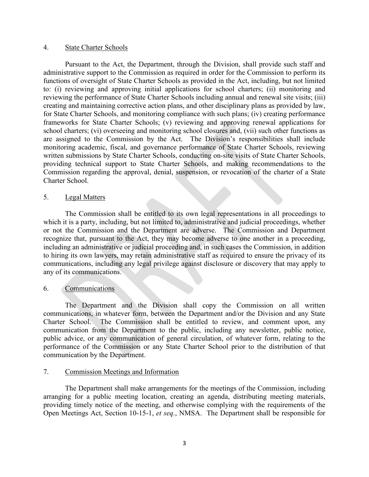### 4. State Charter Schools

Pursuant to the Act, the Department, through the Division, shall provide such staff and administrative support to the Commission as required in order for the Commission to perform its functions of oversight of State Charter Schools as provided in the Act, including, but not limited to: (i) reviewing and approving initial applications for school charters; (ii) monitoring and reviewing the performance of State Charter Schools including annual and renewal site visits; (iii) creating and maintaining corrective action plans, and other disciplinary plans as provided by law, for State Charter Schools, and monitoring compliance with such plans; (iv) creating performance frameworks for State Charter Schools; (v) reviewing and approving renewal applications for school charters; (vi) overseeing and monitoring school closures and, (vii) such other functions as are assigned to the Commission by the Act. The Division's responsibilities shall include monitoring academic, fiscal, and governance performance of State Charter Schools, reviewing written submissions by State Charter Schools, conducting on-site visits of State Charter Schools, providing technical support to State Charter Schools, and making recommendations to the Commission regarding the approval, denial, suspension, or revocation of the charter of a State Charter School.

### 5. Legal Matters

The Commission shall be entitled to its own legal representations in all proceedings to which it is a party, including, but not limited to, administrative and judicial proceedings, whether or not the Commission and the Department are adverse. The Commission and Department recognize that, pursuant to the Act, they may become adverse to one another in a proceeding, including an administrative or judicial proceeding and, in such cases the Commission, in addition to hiring its own lawyers, may retain administrative staff as required to ensure the privacy of its communications, including any legal privilege against disclosure or discovery that may apply to any of its communications.

### 6. Communications

The Department and the Division shall copy the Commission on all written communications, in whatever form, between the Department and/or the Division and any State Charter School. The Commission shall be entitled to review, and comment upon, any communication from the Department to the public, including any newsletter, public notice, public advice, or any communication of general circulation, of whatever form, relating to the performance of the Commission or any State Charter School prior to the distribution of that communication by the Department.

# 7. Commission Meetings and Information

The Department shall make arrangements for the meetings of the Commission, including arranging for a public meeting location, creating an agenda, distributing meeting materials, providing timely notice of the meeting, and otherwise complying with the requirements of the Open Meetings Act, Section 10-15-1, *et seq.*, NMSA. The Department shall be responsible for